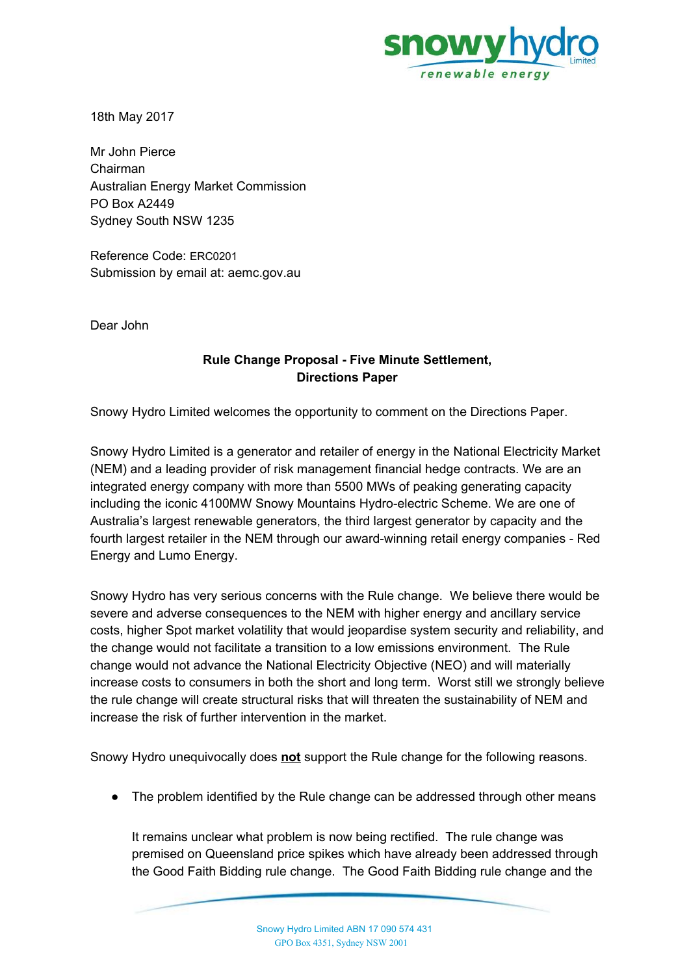

18th May 2017

Mr John Pierce Chairman Australian Energy Market Commission PO Box A2449 Sydney South NSW 1235

Reference Code: ERC0201 Submission by email at: aemc.gov.au

Dear John

### **Rule Change Proposal - Five Minute Settlement, Directions Paper**

Snowy Hydro Limited welcomes the opportunity to comment on the Directions Paper.

Snowy Hydro Limited is a generator and retailer of energy in the National Electricity Market (NEM) and a leading provider of risk management financial hedge contracts. We are an integrated energy company with more than 5500 MWs of peaking generating capacity including the iconic 4100MW Snowy Mountains Hydro-electric Scheme. We are one of Australia's largest renewable generators, the third largest generator by capacity and the fourth largest retailer in the NEM through our award-winning retail energy companies - Red Energy and Lumo Energy.

Snowy Hydro has very serious concerns with the Rule change. We believe there would be severe and adverse consequences to the NEM with higher energy and ancillary service costs, higher Spot market volatility that would jeopardise system security and reliability, and the change would not facilitate a transition to a low emissions environment. The Rule change would not advance the National Electricity Objective (NEO) and will materially increase costs to consumers in both the short and long term. Worst still we strongly believe the rule change will create structural risks that will threaten the sustainability of NEM and increase the risk of further intervention in the market.

Snowy Hydro unequivocally does **not** support the Rule change for the following reasons.

• The problem identified by the Rule change can be addressed through other means

It remains unclear what problem is now being rectified. The rule change was premised on Queensland price spikes which have already been addressed through the Good Faith Bidding rule change. The Good Faith Bidding rule change and the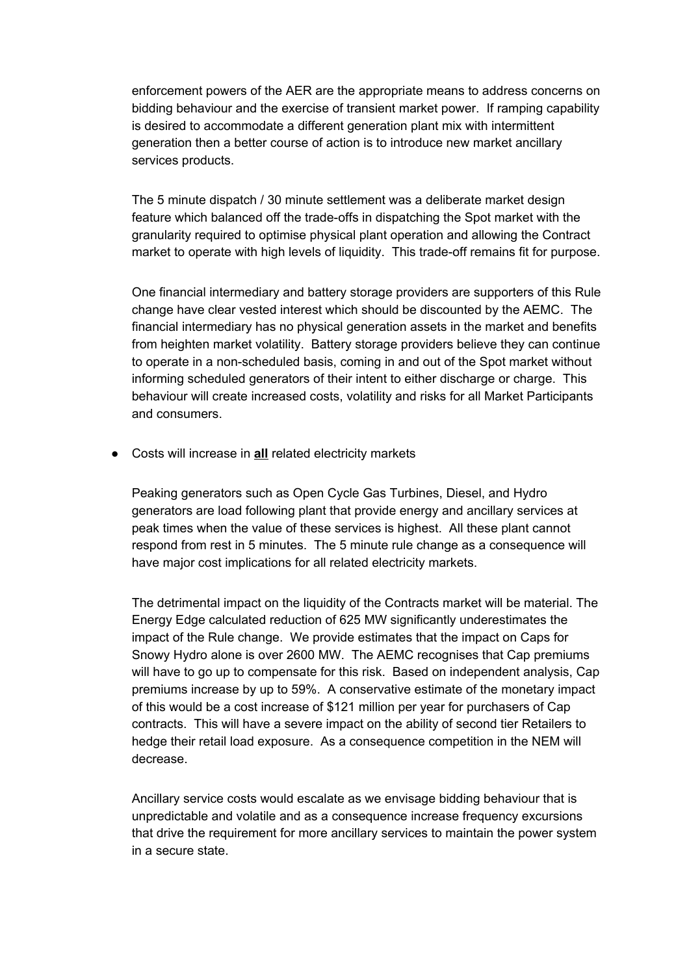enforcement powers of the AER are the appropriate means to address concerns on bidding behaviour and the exercise of transient market power. If ramping capability is desired to accommodate a different generation plant mix with intermittent generation then a better course of action is to introduce new market ancillary services products.

The 5 minute dispatch / 30 minute settlement was a deliberate market design feature which balanced off the trade-offs in dispatching the Spot market with the granularity required to optimise physical plant operation and allowing the Contract market to operate with high levels of liquidity. This trade-off remains fit for purpose.

One financial intermediary and battery storage providers are supporters of this Rule change have clear vested interest which should be discounted by the AEMC. The financial intermediary has no physical generation assets in the market and benefits from heighten market volatility. Battery storage providers believe they can continue to operate in a non-scheduled basis, coming in and out of the Spot market without informing scheduled generators of their intent to either discharge or charge. This behaviour will create increased costs, volatility and risks for all Market Participants and consumers.

● Costs will increase in **all** related electricity markets

Peaking generators such as Open Cycle Gas Turbines, Diesel, and Hydro generators are load following plant that provide energy and ancillary services at peak times when the value of these services is highest. All these plant cannot respond from rest in 5 minutes. The 5 minute rule change as a consequence will have major cost implications for all related electricity markets.

The detrimental impact on the liquidity of the Contracts market will be material. The Energy Edge calculated reduction of 625 MW significantly underestimates the impact of the Rule change. We provide estimates that the impact on Caps for Snowy Hydro alone is over 2600 MW. The AEMC recognises that Cap premiums will have to go up to compensate for this risk. Based on independent analysis, Cap premiums increase by up to 59%. A conservative estimate of the monetary impact of this would be a cost increase of \$121 million per year for purchasers of Cap contracts. This will have a severe impact on the ability of second tier Retailers to hedge their retail load exposure. As a consequence competition in the NEM will decrease.

Ancillary service costs would escalate as we envisage bidding behaviour that is unpredictable and volatile and as a consequence increase frequency excursions that drive the requirement for more ancillary services to maintain the power system in a secure state.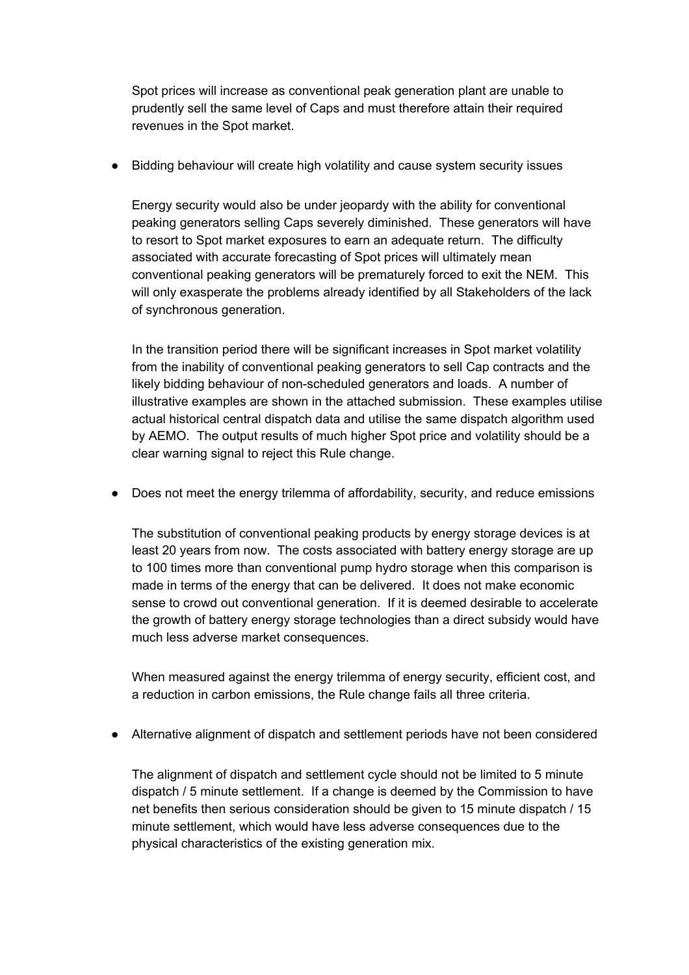Spot prices will increase as conventional peak generation plant are unable to prudently sell the same level of Caps and must therefore attain their required revenues in the Spot market.

● Bidding behaviour will create high volatility and cause system security issues

Energy security would also be under jeopardy with the ability for conventional peaking generators selling Caps severely diminished. These generators will have to resort to Spot market exposures to earn an adequate return. The difficulty associated with accurate forecasting of Spot prices will ultimately mean conventional peaking generators will be prematurely forced to exit the NEM. This will only exasperate the problems already identified by all Stakeholders of the lack of synchronous generation.

In the transition period there will be significant increases in Spot market volatility from the inability of conventional peaking generators to sell Cap contracts and the likely bidding behaviour of non-scheduled generators and loads. A number of illustrative examples are shown in the attached submission. These examples utilise actual historical central dispatch data and utilise the same dispatch algorithm used by AEMO. The output results of much higher Spot price and volatility should be a clear warning signal to reject this Rule change.

● Does not meet the energy trilemma of affordability, security, and reduce emissions

The substitution of conventional peaking products by energy storage devices is at least 20 years from now. The costs associated with battery energy storage are up to 100 times more than conventional pump hydro storage when this comparison is made in terms of the energy that can be delivered. It does not make economic sense to crowd out conventional generation. If it is deemed desirable to accelerate the growth of battery energy storage technologies than a direct subsidy would have much less adverse market consequences.

When measured against the energy trilemma of energy security, efficient cost, and a reduction in carbon emissions, the Rule change fails all three criteria.

● Alternative alignment of dispatch and settlement periods have not been considered

The alignment of dispatch and settlement cycle should not be limited to 5 minute dispatch / 5 minute settlement. If a change is deemed by the Commission to have net benefits then serious consideration should be given to 15 minute dispatch / 15 minute settlement, which would have less adverse consequences due to the physical characteristics of the existing generation mix.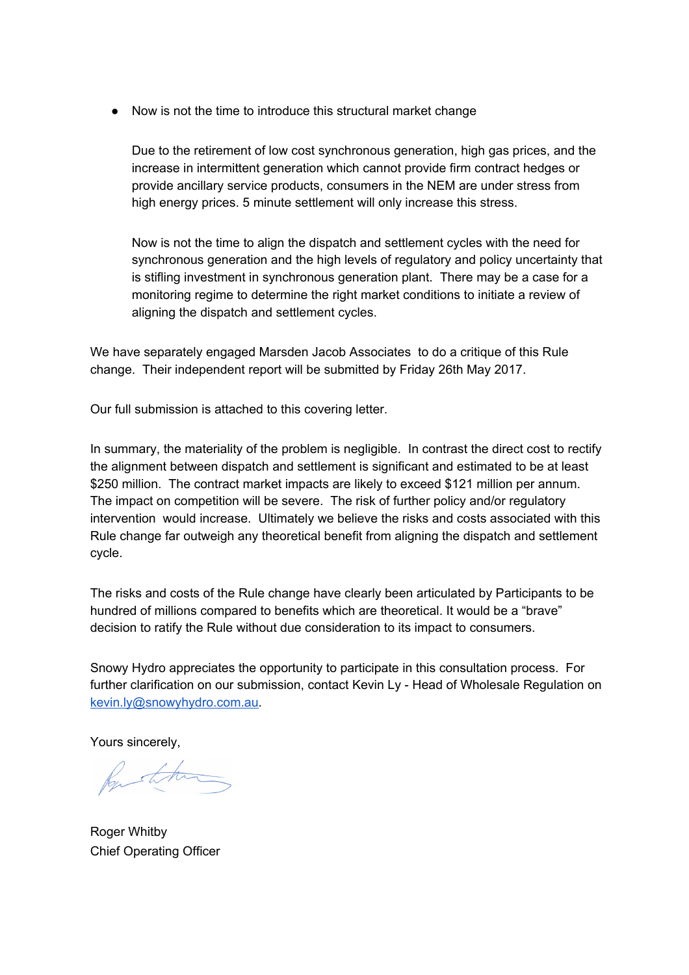● Now is not the time to introduce this structural market change

Due to the retirement of low cost synchronous generation, high gas prices, and the increase in intermittent generation which cannot provide firm contract hedges or provide ancillary service products, consumers in the NEM are under stress from high energy prices. 5 minute settlement will only increase this stress.

Now is not the time to align the dispatch and settlement cycles with the need for synchronous generation and the high levels of regulatory and policy uncertainty that is stifling investment in synchronous generation plant. There may be a case for a monitoring regime to determine the right market conditions to initiate a review of aligning the dispatch and settlement cycles.

We have separately engaged Marsden Jacob Associates to do a critique of this Rule change. Their independent report will be submitted by Friday 26th May 2017.

Our full submission is attached to this covering letter.

In summary, the materiality of the problem is negligible. In contrast the direct cost to rectify the alignment between dispatch and settlement is significant and estimated to be at least \$250 million. The contract market impacts are likely to exceed \$121 million per annum. The impact on competition will be severe. The risk of further policy and/or regulatory intervention would increase. Ultimately we believe the risks and costs associated with this Rule change far outweigh any theoretical benefit from aligning the dispatch and settlement cycle.

The risks and costs of the Rule change have clearly been articulated by Participants to be hundred of millions compared to benefits which are theoretical. It would be a "brave" decision to ratify the Rule without due consideration to its impact to consumers.

Snowy Hydro appreciates the opportunity to participate in this consultation process. For further clarification on our submission, contact Kevin Ly - Head of Wholesale Regulation on [kevin.ly@snowyhydro.com.au.](mailto:kevin.ly@snowyhydro.com.au)

Yours sincerely,

Rustham

Roger Whitby Chief Operating Officer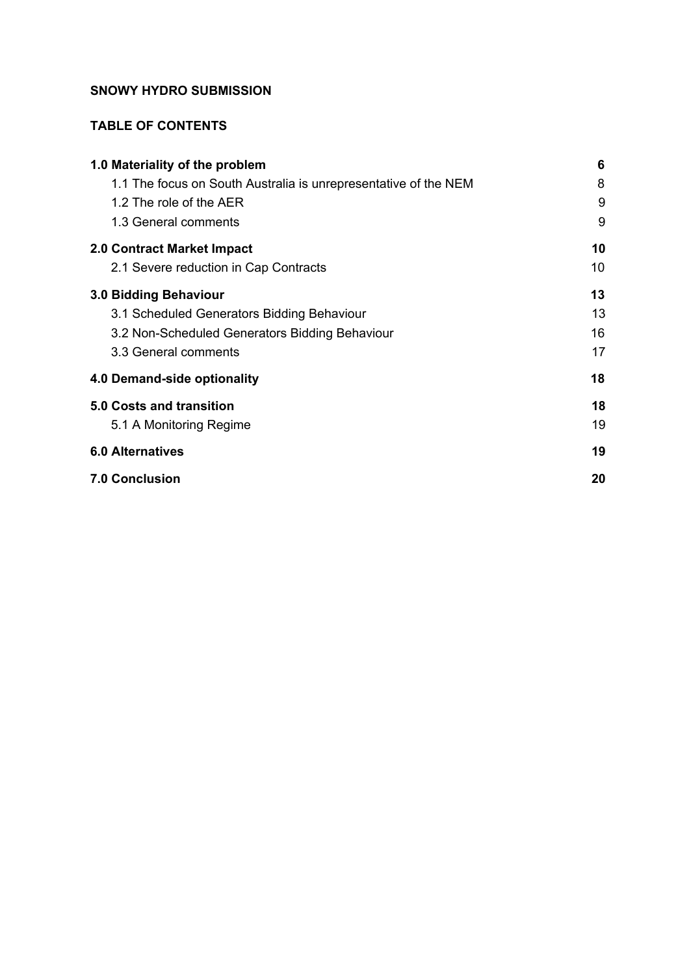### **SNOWY HYDRO SUBMISSION**

### **TABLE OF CONTENTS**

| 1.0 Materiality of the problem                                  | 6  |
|-----------------------------------------------------------------|----|
| 1.1 The focus on South Australia is unrepresentative of the NEM | 8  |
| 1.2 The role of the AER                                         | 9  |
| 1.3 General comments                                            | 9  |
| 2.0 Contract Market Impact                                      | 10 |
| 2.1 Severe reduction in Cap Contracts                           | 10 |
| 3.0 Bidding Behaviour                                           | 13 |
| 3.1 Scheduled Generators Bidding Behaviour                      | 13 |
| 3.2 Non-Scheduled Generators Bidding Behaviour                  | 16 |
| 3.3 General comments                                            | 17 |
| 4.0 Demand-side optionality                                     | 18 |
| <b>5.0 Costs and transition</b>                                 | 18 |
| 5.1 A Monitoring Regime                                         | 19 |
| <b>6.0 Alternatives</b>                                         | 19 |
| <b>7.0 Conclusion</b>                                           | 20 |
|                                                                 |    |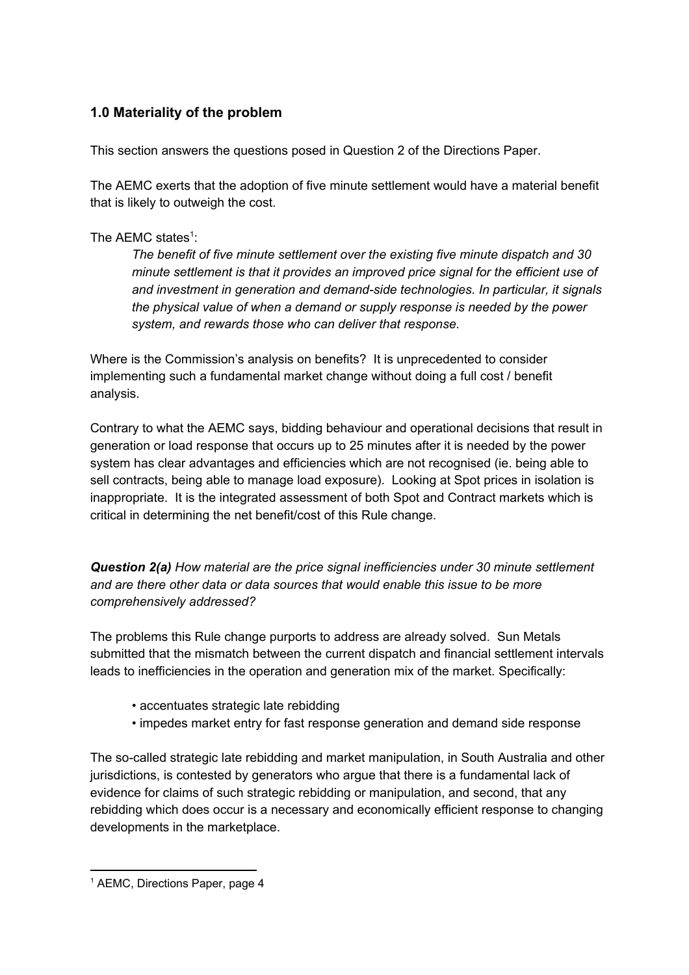# <span id="page-5-0"></span>**1.0 Materiality of the problem**

This section answers the questions posed in Question 2 of the Directions Paper.

The AEMC exerts that the adoption of five minute settlement would have a material benefit that is likely to outweigh the cost.

### The AEMC states<sup>1</sup>:

*The benefit of five minute settlement over the existing five minute dispatch and 30 minute settlement is that it provides an improved price signal for the efficient use of and investment in generation and demand-side technologies. In particular, it signals the physical value of when a demand or supply response is needed by the power system, and rewards those who can deliver that response.*

Where is the Commission's analysis on benefits? It is unprecedented to consider implementing such a fundamental market change without doing a full cost / benefit analysis.

Contrary to what the AEMC says, bidding behaviour and operational decisions that result in generation or load response that occurs up to 25 minutes after it is needed by the power system has clear advantages and efficiencies which are not recognised (ie. being able to sell contracts, being able to manage load exposure). Looking at Spot prices in isolation is inappropriate. It is the integrated assessment of both Spot and Contract markets which is critical in determining the net benefit/cost of this Rule change.

*Question 2(a) How material are the price signal inefficiencies under 30 minute settlement and are there other data or data sources that would enable this issue to be more comprehensively addressed?*

The problems this Rule change purports to address are already solved. Sun Metals submitted that the mismatch between the current dispatch and financial settlement intervals leads to inefficiencies in the operation and generation mix of the market. Specifically:

- accentuates strategic late rebidding
- impedes market entry for fast response generation and demand side response

The so-called strategic late rebidding and market manipulation, in South Australia and other jurisdictions, is contested by generators who argue that there is a fundamental lack of evidence for claims of such strategic rebidding or manipulation, and second, that any rebidding which does occur is a necessary and economically efficient response to changing developments in the marketplace.

<sup>&</sup>lt;sup>1</sup> AEMC, Directions Paper, page 4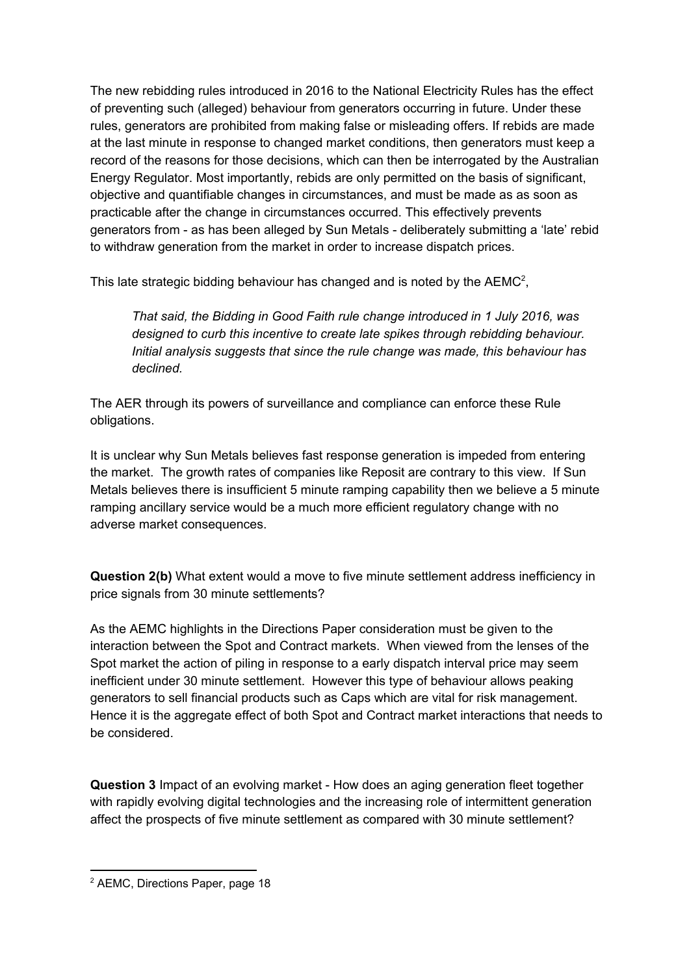The new rebidding rules introduced in 2016 to the National Electricity Rules has the effect of preventing such (alleged) behaviour from generators occurring in future. Under these rules, generators are prohibited from making false or misleading offers. If rebids are made at the last minute in response to changed market conditions, then generators must keep a record of the reasons for those decisions, which can then be interrogated by the Australian Energy Regulator. Most importantly, rebids are only permitted on the basis of significant, objective and quantifiable changes in circumstances, and must be made as as soon as practicable after the change in circumstances occurred. This effectively prevents generators from - as has been alleged by Sun Metals - deliberately submitting a 'late' rebid to withdraw generation from the market in order to increase dispatch prices.

This late strategic bidding behaviour has changed and is noted by the  $AEMC<sup>2</sup>$ ,

*That said, the Bidding in Good Faith rule change introduced in 1 July 2016, was designed to curb this incentive to create late spikes through rebidding behaviour. Initial analysis suggests that since the rule change was made, this behaviour has declined.*

The AER through its powers of surveillance and compliance can enforce these Rule obligations.

It is unclear why Sun Metals believes fast response generation is impeded from entering the market. The growth rates of companies like Reposit are contrary to this view. If Sun Metals believes there is insufficient 5 minute ramping capability then we believe a 5 minute ramping ancillary service would be a much more efficient regulatory change with no adverse market consequences.

**Question 2(b)** What extent would a move to five minute settlement address inefficiency in price signals from 30 minute settlements?

As the AEMC highlights in the Directions Paper consideration must be given to the interaction between the Spot and Contract markets. When viewed from the lenses of the Spot market the action of piling in response to a early dispatch interval price may seem inefficient under 30 minute settlement. However this type of behaviour allows peaking generators to sell financial products such as Caps which are vital for risk management. Hence it is the aggregate effect of both Spot and Contract market interactions that needs to be considered.

**Question 3** Impact of an evolving market - How does an aging generation fleet together with rapidly evolving digital technologies and the increasing role of intermittent generation affect the prospects of five minute settlement as compared with 30 minute settlement?

<sup>2</sup> AEMC, Directions Paper, page 18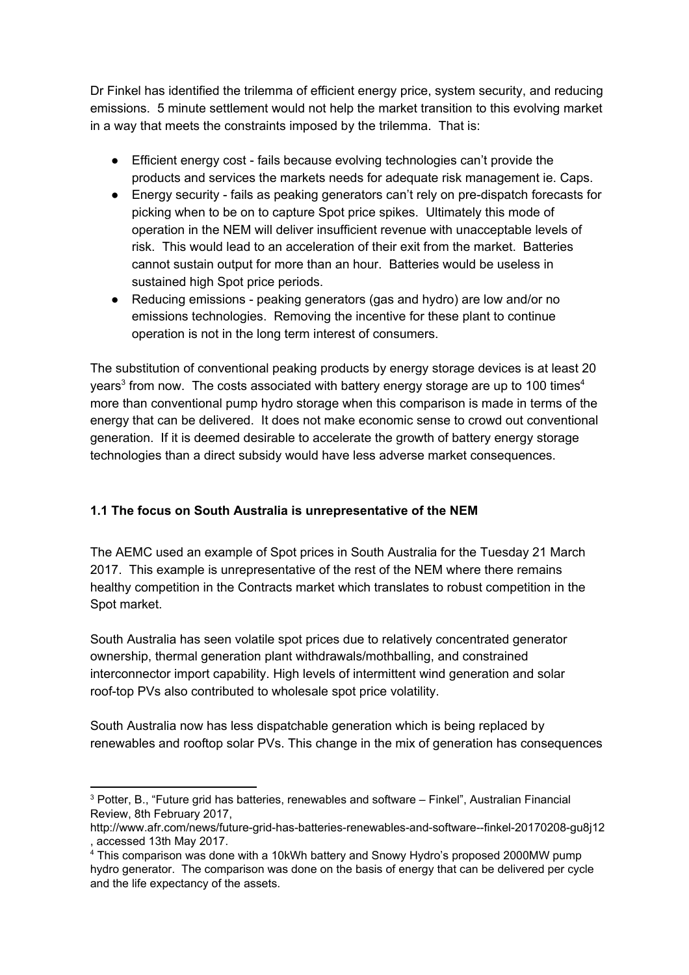Dr Finkel has identified the trilemma of efficient energy price, system security, and reducing emissions. 5 minute settlement would not help the market transition to this evolving market in a way that meets the constraints imposed by the trilemma. That is:

- Efficient energy cost fails because evolving technologies can't provide the products and services the markets needs for adequate risk management ie. Caps.
- Energy security fails as peaking generators can't rely on pre-dispatch forecasts for picking when to be on to capture Spot price spikes. Ultimately this mode of operation in the NEM will deliver insufficient revenue with unacceptable levels of risk. This would lead to an acceleration of their exit from the market. Batteries cannot sustain output for more than an hour. Batteries would be useless in sustained high Spot price periods.
- Reducing emissions peaking generators (gas and hydro) are low and/or no emissions technologies. Removing the incentive for these plant to continue operation is not in the long term interest of consumers.

The substitution of conventional peaking products by energy storage devices is at least 20 years<sup>3</sup> from now. The costs associated with battery energy storage are up to 100 times<sup>4</sup> more than conventional pump hydro storage when this comparison is made in terms of the energy that can be delivered. It does not make economic sense to crowd out conventional generation. If it is deemed desirable to accelerate the growth of battery energy storage technologies than a direct subsidy would have less adverse market consequences.

## <span id="page-7-0"></span>**1.1 The focus on South Australia is unrepresentative of the NEM**

The AEMC used an example of Spot prices in South Australia for the Tuesday 21 March 2017. This example is unrepresentative of the rest of the NEM where there remains healthy competition in the Contracts market which translates to robust competition in the Spot market.

South Australia has seen volatile spot prices due to relatively concentrated generator ownership, thermal generation plant withdrawals/mothballing, and constrained interconnector import capability. High levels of intermittent wind generation and solar roof-top PVs also contributed to wholesale spot price volatility.

South Australia now has less dispatchable generation which is being replaced by renewables and rooftop solar PVs. This change in the mix of generation has consequences

<sup>3</sup> Potter, B., "Future grid has batteries, renewables and software – Finkel", Australian Financial Review, 8th February 2017,

http://www.afr.com/news/future-grid-has-batteries-renewables-and-software--finkel-20170208-gu8j12 , accessed 13th May 2017.

<sup>4</sup> This comparison was done with a 10kWh battery and Snowy Hydro's proposed 2000MW pump hydro generator. The comparison was done on the basis of energy that can be delivered per cycle and the life expectancy of the assets.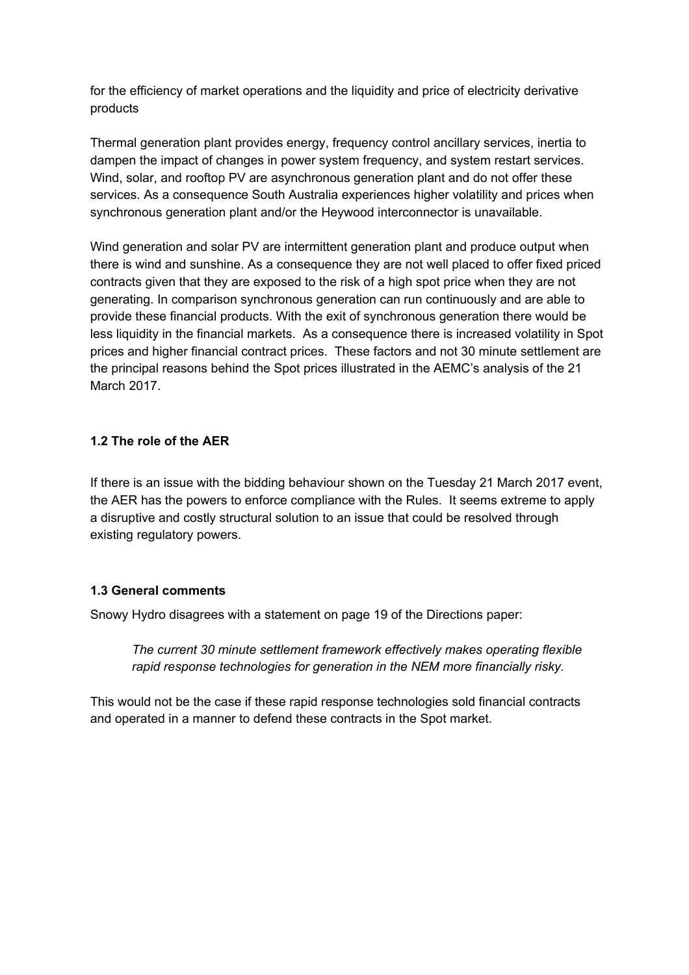for the efficiency of market operations and the liquidity and price of electricity derivative products

Thermal generation plant provides energy, frequency control ancillary services, inertia to dampen the impact of changes in power system frequency, and system restart services. Wind, solar, and rooftop PV are asynchronous generation plant and do not offer these services. As a consequence South Australia experiences higher volatility and prices when synchronous generation plant and/or the Heywood interconnector is unavailable.

Wind generation and solar PV are intermittent generation plant and produce output when there is wind and sunshine. As a consequence they are not well placed to offer fixed priced contracts given that they are exposed to the risk of a high spot price when they are not generating. In comparison synchronous generation can run continuously and are able to provide these financial products. With the exit of synchronous generation there would be less liquidity in the financial markets. As a consequence there is increased volatility in Spot prices and higher financial contract prices. These factors and not 30 minute settlement are the principal reasons behind the Spot prices illustrated in the AEMC's analysis of the 21 March 2017.

### <span id="page-8-1"></span>**1.2 The role of the AER**

If there is an issue with the bidding behaviour shown on the Tuesday 21 March 2017 event, the AER has the powers to enforce compliance with the Rules. It seems extreme to apply a disruptive and costly structural solution to an issue that could be resolved through existing regulatory powers.

### <span id="page-8-0"></span>**1.3 General comments**

Snowy Hydro disagrees with a statement on page 19 of the Directions paper:

*The current 30 minute settlement framework effectively makes operating flexible rapid response technologies for generation in the NEM more financially risky.*

This would not be the case if these rapid response technologies sold financial contracts and operated in a manner to defend these contracts in the Spot market.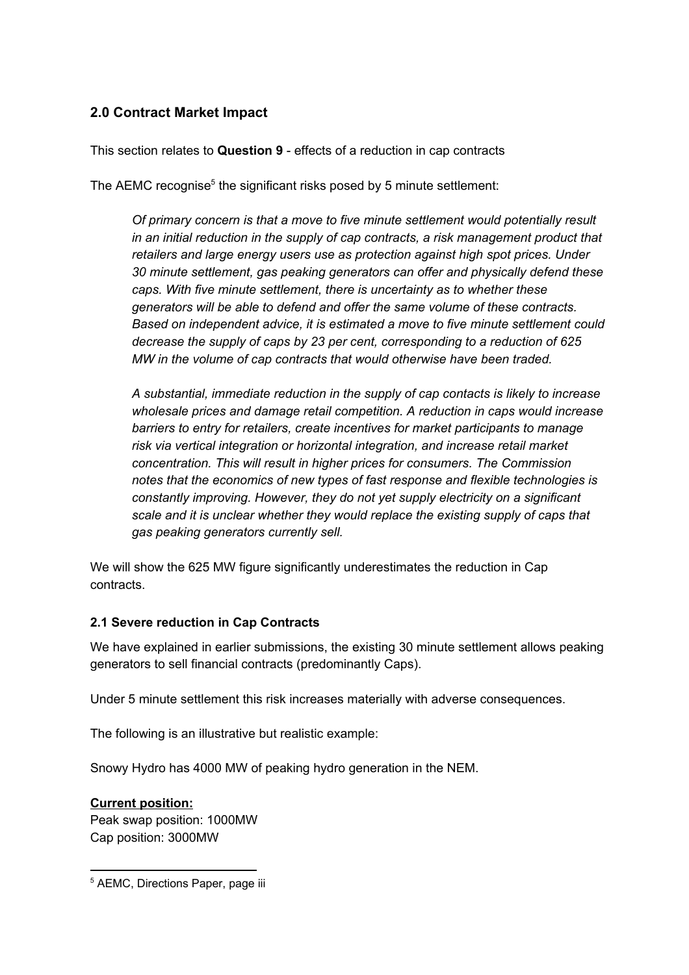# <span id="page-9-1"></span>**2.0 Contract Market Impact**

This section relates to **Question 9** - effects of a reduction in cap contracts

The AEMC recognise<sup>5</sup> the significant risks posed by 5 minute settlement:

*Of primary concern is that a move to five minute settlement would potentially result in an initial reduction in the supply of cap contracts, a risk management product that retailers and large energy users use as protection against high spot prices. Under 30 minute settlement, gas peaking generators can offer and physically defend these caps. With five minute settlement, there is uncertainty as to whether these generators will be able to defend and offer the same volume of these contracts. Based on independent advice, it is estimated a move to five minute settlement could decrease the supply of caps by 23 per cent, corresponding to a reduction of 625 MW in the volume of cap contracts that would otherwise have been traded.*

*A substantial, immediate reduction in the supply of cap contacts is likely to increase wholesale prices and damage retail competition. A reduction in caps would increase barriers to entry for retailers, create incentives for market participants to manage risk via vertical integration or horizontal integration, and increase retail market concentration. This will result in higher prices for consumers. The Commission notes that the economics of new types of fast response and flexible technologies is constantly improving. However, they do not yet supply electricity on a significant scale and it is unclear whether they would replace the existing supply of caps that gas peaking generators currently sell.*

We will show the 625 MW figure significantly underestimates the reduction in Cap contracts.

### <span id="page-9-0"></span>**2.1 Severe reduction in Cap Contracts**

We have explained in earlier submissions, the existing 30 minute settlement allows peaking generators to sell financial contracts (predominantly Caps).

Under 5 minute settlement this risk increases materially with adverse consequences.

The following is an illustrative but realistic example:

Snowy Hydro has 4000 MW of peaking hydro generation in the NEM.

### **Current position:**

Peak swap position: 1000MW Cap position: 3000MW

<sup>5</sup> AEMC, Directions Paper, page iii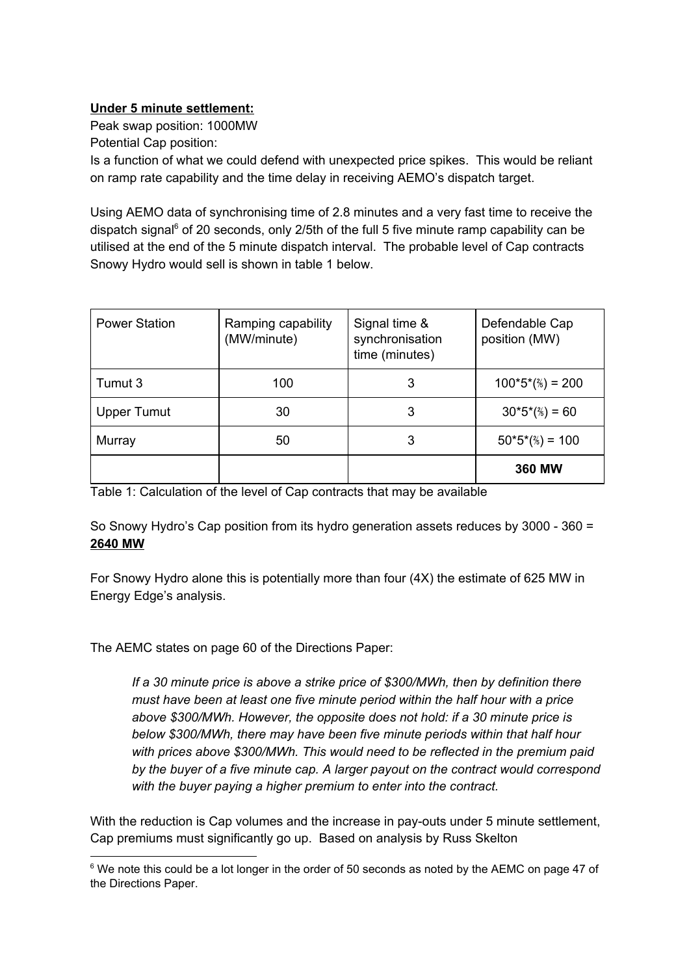### **Under 5 minute settlement:**

Peak swap position: 1000MW

Potential Cap position:

Is a function of what we could defend with unexpected price spikes. This would be reliant on ramp rate capability and the time delay in receiving AEMO's dispatch target.

Using AEMO data of synchronising time of 2.8 minutes and a very fast time to receive the dispatch signal $6$  of 20 seconds, only 2/5th of the full 5 five minute ramp capability can be utilised at the end of the 5 minute dispatch interval. The probable level of Cap contracts Snowy Hydro would sell is shown in table 1 below.

| <b>Power Station</b> | Ramping capability<br>(MW/minute) | Signal time &<br>synchronisation<br>time (minutes) | Defendable Cap<br>position (MW) |
|----------------------|-----------------------------------|----------------------------------------------------|---------------------------------|
| Tumut 3              | 100                               | 3                                                  | $100*5*(\frac{2}{5}) = 200$     |
| <b>Upper Tumut</b>   | 30                                | 3                                                  | $30*5*(\%) = 60$                |
| Murray               | 50                                | 3                                                  | $50*5*(\frac{2}{5}) = 100$      |
|                      |                                   |                                                    | <b>360 MW</b>                   |

Table 1: Calculation of the level of Cap contracts that may be available

So Snowy Hydro's Cap position from its hydro generation assets reduces by 3000 - 360 = **2640 MW**

For Snowy Hydro alone this is potentially more than four (4X) the estimate of 625 MW in Energy Edge's analysis.

The AEMC states on page 60 of the Directions Paper:

*If a 30 minute price is above a strike price of \$300/MWh, then by definition there must have been at least one five minute period within the half hour with a price above \$300/MWh. However, the opposite does not hold: if a 30 minute price is below \$300/MWh, there may have been five minute periods within that half hour with prices above \$300/MWh. This would need to be reflected in the premium paid by the buyer of a five minute cap. A larger payout on the contract would correspond with the buyer paying a higher premium to enter into the contract.*

With the reduction is Cap volumes and the increase in pay-outs under 5 minute settlement, Cap premiums must significantly go up. Based on analysis by Russ Skelton

 $6$  We note this could be a lot longer in the order of 50 seconds as noted by the AEMC on page 47 of the Directions Paper.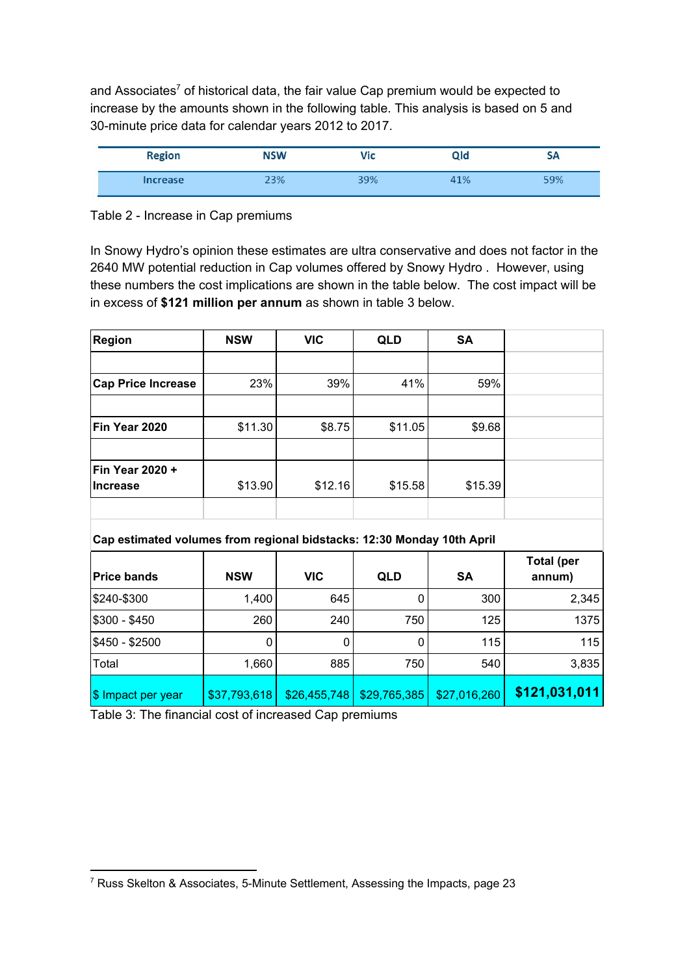and Associates<sup>7</sup> of historical data, the fair value Cap premium would be expected to increase by the amounts shown in the following table. This analysis is based on 5 and 30-minute price data for calendar years 2012 to 2017.

| <b>Region</b><br><b>STATISTICS</b> | <b>NSW</b> | /ic | Qld | <b>SH</b> |
|------------------------------------|------------|-----|-----|-----------|
| <b>Increase</b>                    | 00(        | 9%  | 1%  | $-9%$     |

#### Table 2 - Increase in Cap premiums

In Snowy Hydro's opinion these estimates are ultra conservative and does not factor in the 2640 MW potential reduction in Cap volumes offered by Snowy Hydro . However, using these numbers the cost implications are shown in the table below. The cost impact will be in excess of **\$121 million per annum** as shown in table 3 below.

| <b>Region</b>                                                          | <b>NSW</b> | <b>VIC</b> | <b>QLD</b> | <b>SA</b> |            |
|------------------------------------------------------------------------|------------|------------|------------|-----------|------------|
|                                                                        |            |            |            |           |            |
| <b>Cap Price Increase</b>                                              | 23%        | 39%        | 41%        | 59%       |            |
|                                                                        |            |            |            |           |            |
| Fin Year 2020                                                          | \$11.30    | \$8.75     | \$11.05    | \$9.68    |            |
|                                                                        |            |            |            |           |            |
| Fin Year 2020 +                                                        |            |            |            |           |            |
| <b>Increase</b>                                                        | \$13.90    | \$12.16    | \$15.58    | \$15.39   |            |
|                                                                        |            |            |            |           |            |
|                                                                        |            |            |            |           |            |
| Cap estimated volumes from regional bidstacks: 12:30 Monday 10th April |            |            |            |           |            |
|                                                                        |            |            |            |           | Total (ner |

| <b>Price bands</b> | <b>NSW</b>   | <b>VIC</b>   | <b>QLD</b>   | <b>SA</b>    | <b>Total (per</b><br>annum) |
|--------------------|--------------|--------------|--------------|--------------|-----------------------------|
| \$240-\$300        | 1,400        | 645          | 0            | 300          | 2,345                       |
| $$300 - $450$      | 260          | 240          | 750          | 125          | 1375                        |
| \$450 - \$2500     | 0            |              | 0            | 115          | 115                         |
| Total              | 1,660        | 885          | 750          | 540          | 3,835                       |
| \$ Impact per year | \$37,793,618 | \$26,455,748 | \$29,765,385 | \$27,016,260 | \$121,031,011               |

Table 3: The financial cost of increased Cap premiums

<sup>7</sup> Russ Skelton & Associates, 5-Minute Settlement, Assessing the Impacts, page 23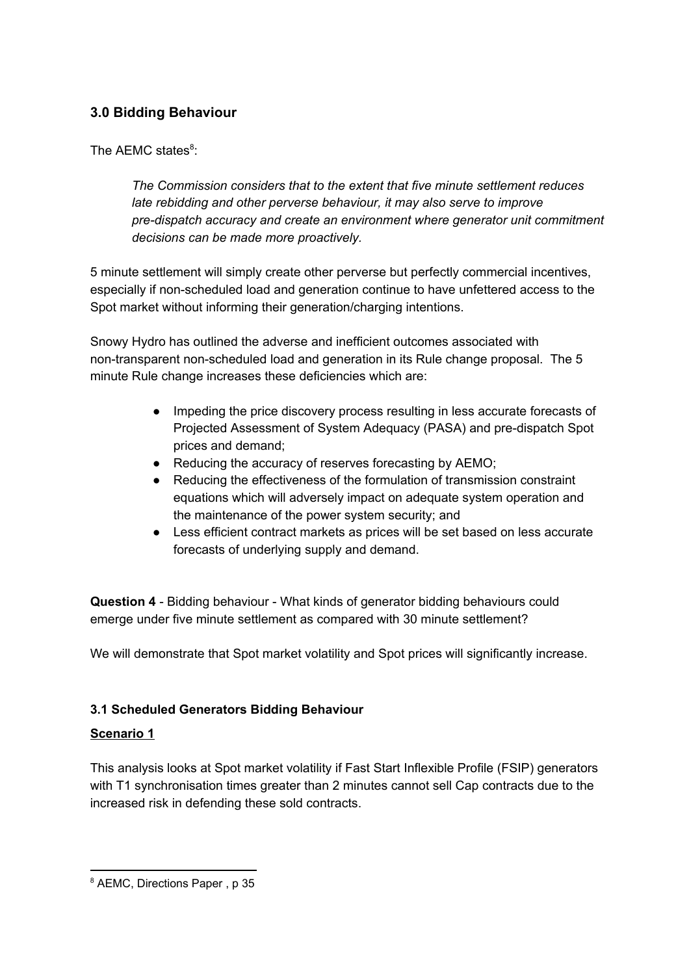# <span id="page-12-1"></span>**3.0 Bidding Behaviour**

The AEMC states<sup>8</sup>:

*The Commission considers that to the extent that five minute settlement reduces late rebidding and other perverse behaviour, it may also serve to improve pre-dispatch accuracy and create an environment where generator unit commitment decisions can be made more proactively.*

5 minute settlement will simply create other perverse but perfectly commercial incentives, especially if non-scheduled load and generation continue to have unfettered access to the Spot market without informing their generation/charging intentions.

Snowy Hydro has outlined the adverse and inefficient outcomes associated with non-transparent non-scheduled load and generation in its Rule change proposal. The 5 minute Rule change increases these deficiencies which are:

- Impeding the price discovery process resulting in less accurate forecasts of Projected Assessment of System Adequacy (PASA) and pre-dispatch Spot prices and demand;
- Reducing the accuracy of reserves forecasting by AEMO;
- Reducing the effectiveness of the formulation of transmission constraint equations which will adversely impact on adequate system operation and the maintenance of the power system security; and
- Less efficient contract markets as prices will be set based on less accurate forecasts of underlying supply and demand.

**Question 4** - Bidding behaviour - What kinds of generator bidding behaviours could emerge under five minute settlement as compared with 30 minute settlement?

We will demonstrate that Spot market volatility and Spot prices will significantly increase.

## <span id="page-12-0"></span>**3.1 Scheduled Generators Bidding Behaviour**

### **Scenario 1**

This analysis looks at Spot market volatility if Fast Start Inflexible Profile (FSIP) generators with T1 synchronisation times greater than 2 minutes cannot sell Cap contracts due to the increased risk in defending these sold contracts.

<sup>8</sup> AEMC, Directions Paper , p 35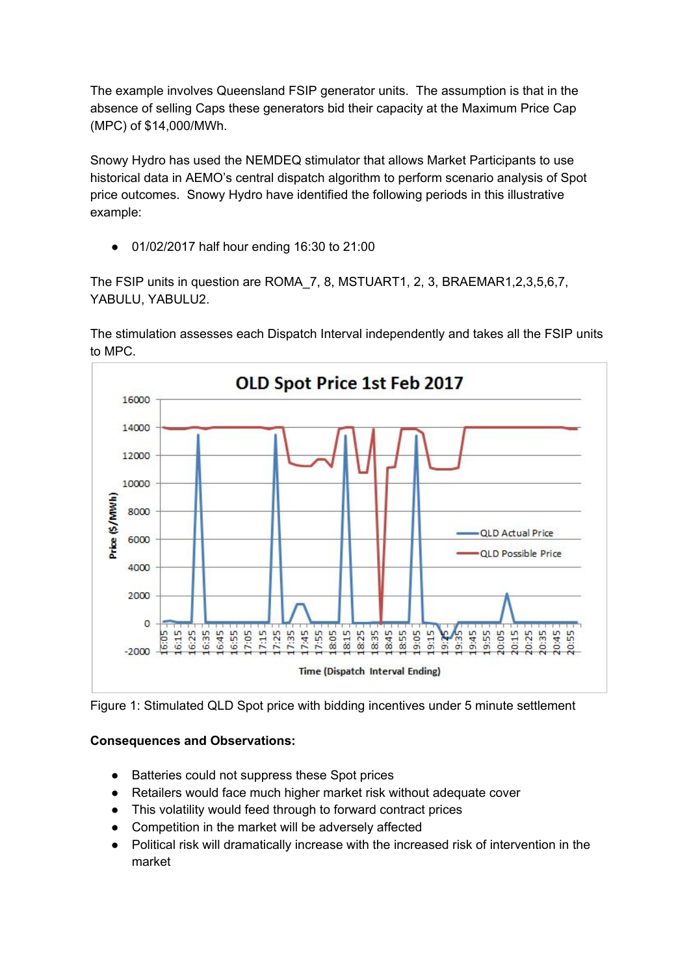The example involves Queensland FSIP generator units. The assumption is that in the absence of selling Caps these generators bid their capacity at the Maximum Price Cap (MPC) of \$14,000/MWh.

Snowy Hydro has used the NEMDEQ stimulator that allows Market Participants to use historical data in AEMO's central dispatch algorithm to perform scenario analysis of Spot price outcomes. Snowy Hydro have identified the following periods in this illustrative example:

● 01/02/2017 half hour ending 16:30 to 21:00

The FSIP units in question are ROMA\_7, 8, MSTUART1, 2, 3, BRAEMAR1,2,3,5,6,7, YABULU, YABULU2.

The stimulation assesses each Dispatch Interval independently and takes all the FSIP units to MPC.





## **Consequences and Observations:**

- Batteries could not suppress these Spot prices
- Retailers would face much higher market risk without adequate cover
- This volatility would feed through to forward contract prices
- Competition in the market will be adversely affected
- Political risk will dramatically increase with the increased risk of intervention in the market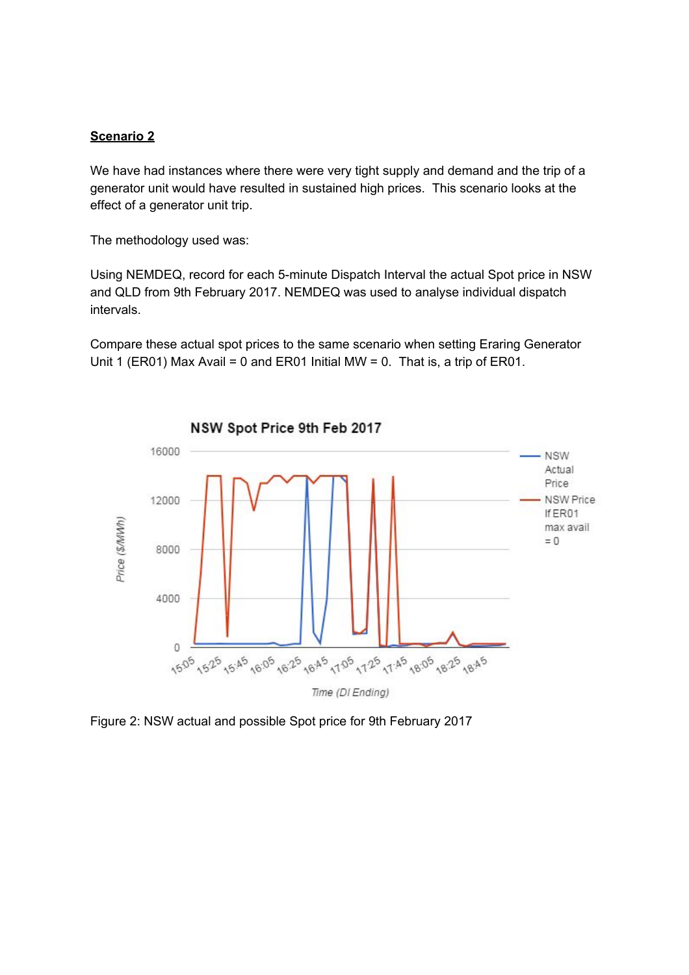#### **Scenario 2**

We have had instances where there were very tight supply and demand and the trip of a generator unit would have resulted in sustained high prices. This scenario looks at the effect of a generator unit trip.

The methodology used was:

Using NEMDEQ, record for each 5-minute Dispatch Interval the actual Spot price in NSW and QLD from 9th February 2017. NEMDEQ was used to analyse individual dispatch intervals.

Compare these actual spot prices to the same scenario when setting Eraring Generator Unit 1 (ER01) Max Avail = 0 and ER01 Initial MW = 0. That is, a trip of ER01.



Figure 2: NSW actual and possible Spot price for 9th February 2017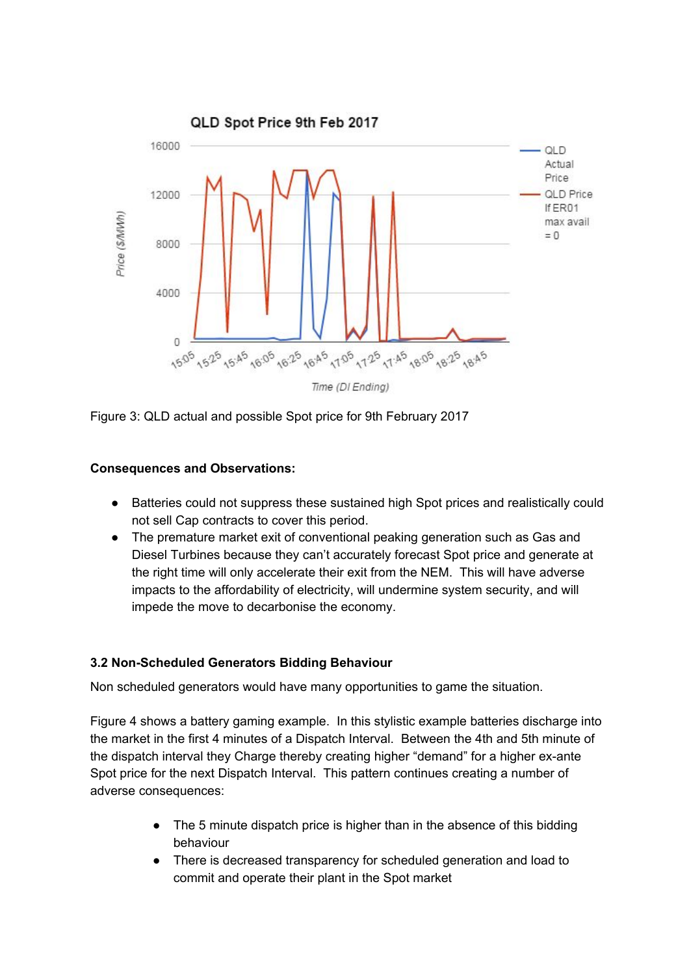

Figure 3: QLD actual and possible Spot price for 9th February 2017

### **Consequences and Observations:**

- Batteries could not suppress these sustained high Spot prices and realistically could not sell Cap contracts to cover this period.
- The premature market exit of conventional peaking generation such as Gas and Diesel Turbines because they can't accurately forecast Spot price and generate at the right time will only accelerate their exit from the NEM. This will have adverse impacts to the affordability of electricity, will undermine system security, and will impede the move to decarbonise the economy.

## <span id="page-15-0"></span>**3.2 Non-Scheduled Generators Bidding Behaviour**

Non scheduled generators would have many opportunities to game the situation.

Figure 4 shows a battery gaming example. In this stylistic example batteries discharge into the market in the first 4 minutes of a Dispatch Interval. Between the 4th and 5th minute of the dispatch interval they Charge thereby creating higher "demand" for a higher ex-ante Spot price for the next Dispatch Interval. This pattern continues creating a number of adverse consequences:

- The 5 minute dispatch price is higher than in the absence of this bidding behaviour
- There is decreased transparency for scheduled generation and load to commit and operate their plant in the Spot market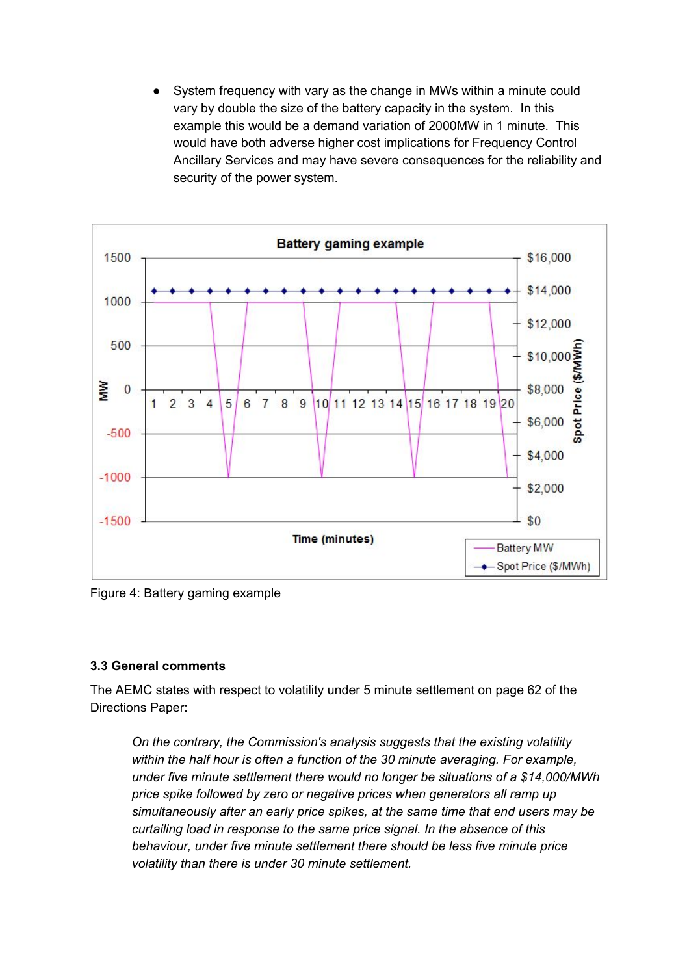System frequency with vary as the change in MWs within a minute could vary by double the size of the battery capacity in the system. In this example this would be a demand variation of 2000MW in 1 minute. This would have both adverse higher cost implications for Frequency Control Ancillary Services and may have severe consequences for the reliability and security of the power system.



Figure 4: Battery gaming example

### <span id="page-16-0"></span>**3.3 General comments**

The AEMC states with respect to volatility under 5 minute settlement on page 62 of the Directions Paper:

*On the contrary, the Commission's analysis suggests that the existing volatility within the half hour is often a function of the 30 minute averaging. For example, under five minute settlement there would no longer be situations of a \$14,000/MWh price spike followed by zero or negative prices when generators all ramp up simultaneously after an early price spikes, at the same time that end users may be curtailing load in response to the same price signal. In the absence of this behaviour, under five minute settlement there should be less five minute price volatility than there is under 30 minute settlement.*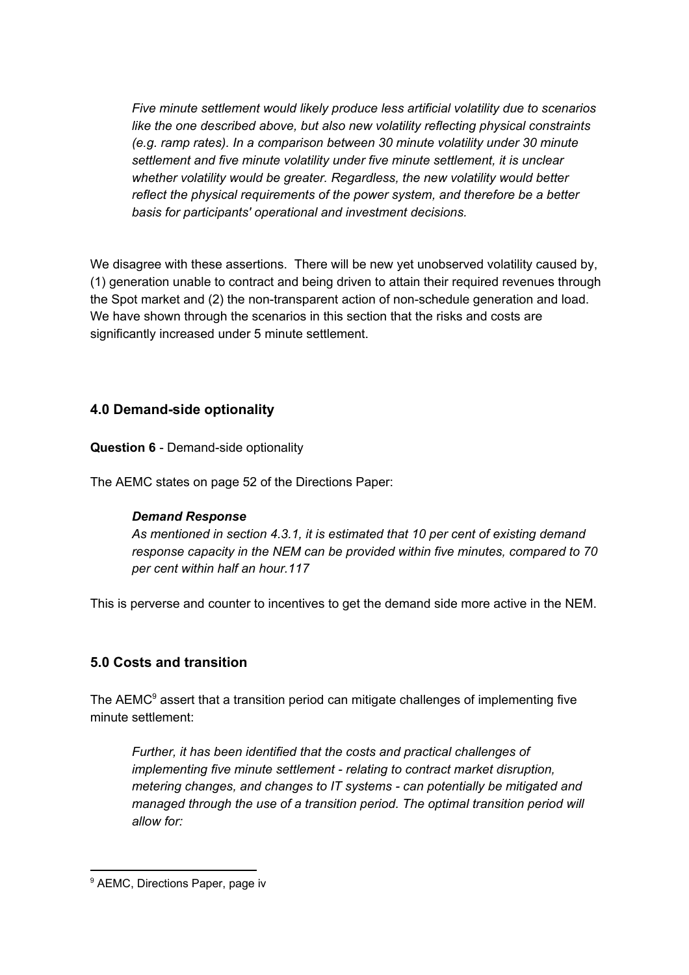*Five minute settlement would likely produce less artificial volatility due to scenarios like the one described above, but also new volatility reflecting physical constraints (e.g. ramp rates). In a comparison between 30 minute volatility under 30 minute settlement and five minute volatility under five minute settlement, it is unclear whether volatility would be greater. Regardless, the new volatility would better reflect the physical requirements of the power system, and therefore be a better basis for participants' operational and investment decisions.*

We disagree with these assertions. There will be new yet unobserved volatility caused by, (1) generation unable to contract and being driven to attain their required revenues through the Spot market and (2) the non-transparent action of non-schedule generation and load. We have shown through the scenarios in this section that the risks and costs are significantly increased under 5 minute settlement.

## <span id="page-17-0"></span>**4.0 Demand-side optionality**

**Question 6** - Demand-side optionality

The AEMC states on page 52 of the Directions Paper:

### *Demand Response*

*As mentioned in section 4.3.1, it is estimated that 10 per cent of existing demand response capacity in the NEM can be provided within five minutes, compared to 70 per cent within half an hour.117*

This is perverse and counter to incentives to get the demand side more active in the NEM.

## <span id="page-17-1"></span>**5.0 Costs and transition**

The AEMC $9$  assert that a transition period can mitigate challenges of implementing five minute settlement:

*Further, it has been identified that the costs and practical challenges of implementing five minute settlement - relating to contract market disruption, metering changes, and changes to IT systems - can potentially be mitigated and managed through the use of a transition period. The optimal transition period will allow for:*

<sup>&</sup>lt;sup>9</sup> AEMC, Directions Paper, page iv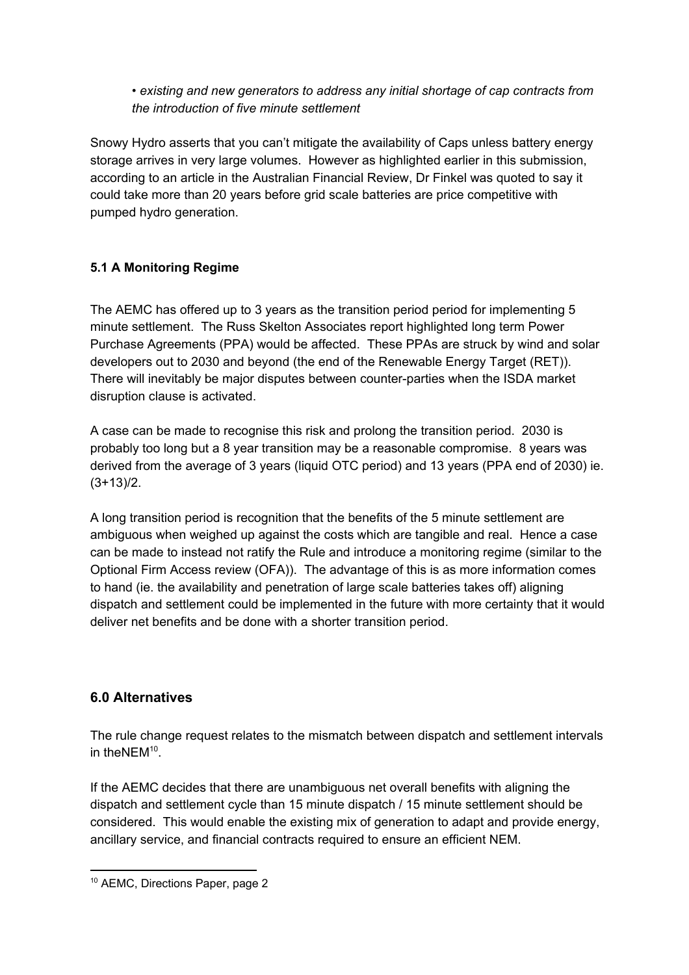*• existing and new generators to address any initial shortage of cap contracts from the introduction of five minute settlement*

Snowy Hydro asserts that you can't mitigate the availability of Caps unless battery energy storage arrives in very large volumes. However as highlighted earlier in this submission, according to an article in the Australian Financial Review, Dr Finkel was quoted to say it could take more than 20 years before grid scale batteries are price competitive with pumped hydro generation.

## <span id="page-18-0"></span>**5.1 A Monitoring Regime**

The AEMC has offered up to 3 years as the transition period period for implementing 5 minute settlement. The Russ Skelton Associates report highlighted long term Power Purchase Agreements (PPA) would be affected. These PPAs are struck by wind and solar developers out to 2030 and beyond (the end of the Renewable Energy Target (RET)). There will inevitably be major disputes between counter-parties when the ISDA market disruption clause is activated.

A case can be made to recognise this risk and prolong the transition period. 2030 is probably too long but a 8 year transition may be a reasonable compromise. 8 years was derived from the average of 3 years (liquid OTC period) and 13 years (PPA end of 2030) ie.  $(3+13)/2$ .

A long transition period is recognition that the benefits of the 5 minute settlement are ambiguous when weighed up against the costs which are tangible and real. Hence a case can be made to instead not ratify the Rule and introduce a monitoring regime (similar to the Optional Firm Access review (OFA)). The advantage of this is as more information comes to hand (ie. the availability and penetration of large scale batteries takes off) aligning dispatch and settlement could be implemented in the future with more certainty that it would deliver net benefits and be done with a shorter transition period.

## <span id="page-18-1"></span>**6.0 Alternatives**

The rule change request relates to the mismatch between dispatch and settlement intervals in the NEM $10$ .

If the AEMC decides that there are unambiguous net overall benefits with aligning the dispatch and settlement cycle than 15 minute dispatch / 15 minute settlement should be considered. This would enable the existing mix of generation to adapt and provide energy, ancillary service, and financial contracts required to ensure an efficient NEM.

<sup>10</sup> AEMC, Directions Paper, page 2